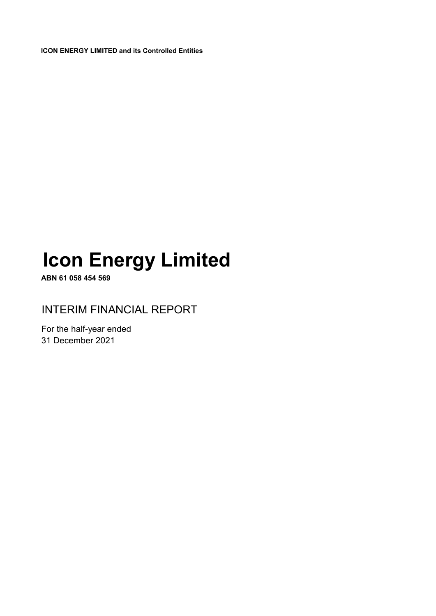**ICON ENERGY LIMITED and its Controlled Entities**

# **Icon Energy Limited**

**ABN 61 058 454 569**

INTERIM FINANCIAL REPORT

For the half-year ended 31 December 2021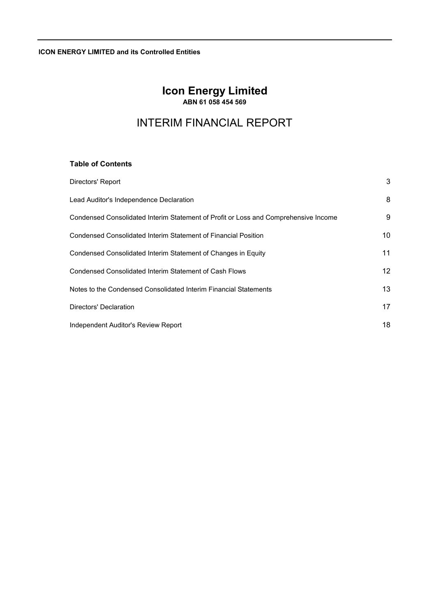**ICON ENERGY LIMITED and its Controlled Entities**

## **Icon Energy Limited ABN 61 058 454 569**

## INTERIM FINANCIAL REPORT

## **Table of Contents**

| Directors' Report                                                                   | 3  |
|-------------------------------------------------------------------------------------|----|
| Lead Auditor's Independence Declaration                                             | 8  |
| Condensed Consolidated Interim Statement of Profit or Loss and Comprehensive Income | 9  |
| Condensed Consolidated Interim Statement of Financial Position                      | 10 |
| Condensed Consolidated Interim Statement of Changes in Equity                       | 11 |
| Condensed Consolidated Interim Statement of Cash Flows                              | 12 |
| Notes to the Condensed Consolidated Interim Financial Statements                    | 13 |
| Directors' Declaration                                                              | 17 |
| Independent Auditor's Review Report                                                 | 18 |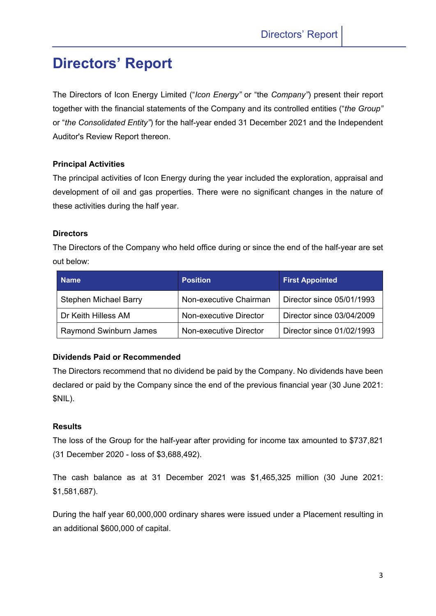## **Directors' Report**

The Directors of Icon Energy Limited ("*Icon Energy"* or "the *Company"*) present their report together with the financial statements of the Company and its controlled entities ("*the Group"* or "*the Consolidated Entity"*) for the half-year ended 31 December 2021 and the Independent Auditor's Review Report thereon.

## **Principal Activities**

The principal activities of Icon Energy during the year included the exploration, appraisal and development of oil and gas properties. There were no significant changes in the nature of these activities during the half year.

## **Directors**

The Directors of the Company who held office during or since the end of the half-year are set out below:

| <b>Name</b>                   | <b>Position</b>        | <b>First Appointed</b>    |
|-------------------------------|------------------------|---------------------------|
| <b>Stephen Michael Barry</b>  | Non-executive Chairman | Director since 05/01/1993 |
| Dr Keith Hilless AM           | Non-executive Director | Director since 03/04/2009 |
| <b>Raymond Swinburn James</b> | Non-executive Director | Director since 01/02/1993 |

## **Dividends Paid or Recommended**

The Directors recommend that no dividend be paid by the Company. No dividends have been declared or paid by the Company since the end of the previous financial year (30 June 2021: \$NIL).

## **Results**

The loss of the Group for the half-year after providing for income tax amounted to \$737,821 (31 December 2020 - loss of \$3,688,492).

The cash balance as at 31 December 2021 was \$1,465,325 million (30 June 2021: \$1,581,687).

During the half year 60,000,000 ordinary shares were issued under a Placement resulting in an additional \$600,000 of capital.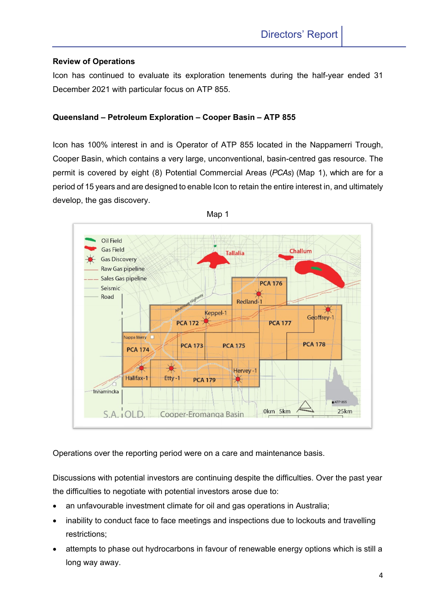## **Review of Operations**

Icon has continued to evaluate its exploration tenements during the half-year ended 31 December 2021 with particular focus on ATP 855.

## **Queensland – Petroleum Exploration – Cooper Basin – ATP 855**

Icon has 100% interest in and is Operator of ATP 855 located in the Nappamerri Trough, Cooper Basin, which contains a very large, unconventional, basin-centred gas resource. The permit is covered by eight (8) Potential Commercial Areas (*PCAs*) (Map 1), which are for a period of 15 years and are designed to enable Icon to retain the entire interest in, and ultimately develop, the gas discovery.



Operations over the reporting period were on a care and maintenance basis.

Discussions with potential investors are continuing despite the difficulties. Over the past year the difficulties to negotiate with potential investors arose due to:

- an unfavourable investment climate for oil and gas operations in Australia;
- inability to conduct face to face meetings and inspections due to lockouts and travelling restrictions;
- attempts to phase out hydrocarbons in favour of renewable energy options which is still a long way away.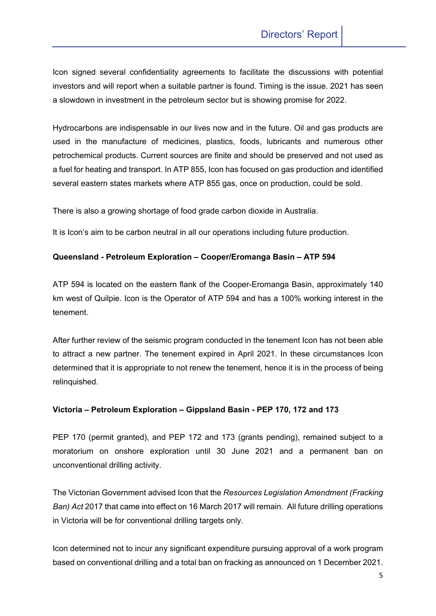Icon signed several confidentiality agreements to facilitate the discussions with potential investors and will report when a suitable partner is found. Timing is the issue. 2021 has seen a slowdown in investment in the petroleum sector but is showing promise for 2022.

Hydrocarbons are indispensable in our lives now and in the future. Oil and gas products are used in the manufacture of medicines, plastics, foods, lubricants and numerous other petrochemical products. Current sources are finite and should be preserved and not used as a fuel for heating and transport. In ATP 855, Icon has focused on gas production and identified several eastern states markets where ATP 855 gas, once on production, could be sold.

There is also a growing shortage of food grade carbon dioxide in Australia.

It is Icon's aim to be carbon neutral in all our operations including future production.

## **Queensland - Petroleum Exploration – Cooper/Eromanga Basin – ATP 594**

ATP 594 is located on the eastern flank of the Cooper-Eromanga Basin, approximately 140 km west of Quilpie. Icon is the Operator of ATP 594 and has a 100% working interest in the tenement.

After further review of the seismic program conducted in the tenement Icon has not been able to attract a new partner. The tenement expired in April 2021. In these circumstances Icon determined that it is appropriate to not renew the tenement, hence it is in the process of being relinquished.

## **Victoria – Petroleum Exploration – Gippsland Basin - PEP 170, 172 and 173**

PEP 170 (permit granted), and PEP 172 and 173 (grants pending), remained subject to a moratorium on onshore exploration until 30 June 2021 and a permanent ban on unconventional drilling activity.

The Victorian Government advised Icon that the *Resources Legislation Amendment (Fracking Ban) Act* 2017 that came into effect on 16 March 2017 will remain. All future drilling operations in Victoria will be for conventional drilling targets only.

Icon determined not to incur any significant expenditure pursuing approval of a work program based on conventional drilling and a total ban on fracking as announced on 1 December 2021.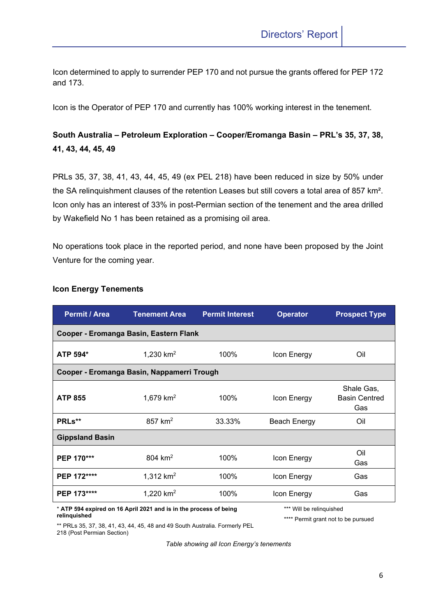Icon determined to apply to surrender PEP 170 and not pursue the grants offered for PEP 172 and 173.

Icon is the Operator of PEP 170 and currently has 100% working interest in the tenement.

## **South Australia – Petroleum Exploration – Cooper/Eromanga Basin – PRL's 35, 37, 38, 41, 43, 44, 45, 49**

PRLs 35, 37, 38, 41, 43, 44, 45, 49 (ex PEL 218) have been reduced in size by 50% under the SA relinquishment clauses of the retention Leases but still covers a total area of 857 km². Icon only has an interest of 33% in post-Permian section of the tenement and the area drilled by Wakefield No 1 has been retained as a promising oil area.

No operations took place in the reported period, and none have been proposed by the Joint Venture for the coming year.

| Permit / Area          | <b>Tenement Area</b>                                              | <b>Permit Interest</b> | <b>Operator</b>          | <b>Prospect Type</b>                      |
|------------------------|-------------------------------------------------------------------|------------------------|--------------------------|-------------------------------------------|
|                        | Cooper - Eromanga Basin, Eastern Flank                            |                        |                          |                                           |
| ATP 594*               | 1,230 $km^2$                                                      | 100%                   | Icon Energy              | Oil                                       |
|                        | Cooper - Eromanga Basin, Nappamerri Trough                        |                        |                          |                                           |
| <b>ATP 855</b>         | 1,679 $km^2$                                                      | 100%                   | Icon Energy              | Shale Gas,<br><b>Basin Centred</b><br>Gas |
| PRLs**                 | $857$ km <sup>2</sup>                                             | 33.33%                 | Beach Energy             | Oil                                       |
| <b>Gippsland Basin</b> |                                                                   |                        |                          |                                           |
| PEP 170***             | 804 $km2$                                                         | 100%                   | Icon Energy              | Oil<br>Gas                                |
| PEP 172****            | 1,312 $km2$                                                       | 100%                   | Icon Energy              | Gas                                       |
| PEP 173****            | 1,220 $km^2$                                                      | 100%                   | Icon Energy              | Gas                                       |
|                        | * ATP 594 expired on 16 April 2021 and is in the process of being |                        | *** Will be relinguished |                                           |

## **Icon Energy Tenements**

\* **ATP 594 expired on 16 April 2021 and is in the process of being relinquished**

\*\*\*\* Permit grant not to be pursued

\*\* PRLs 35, 37, 38, 41, 43, 44, 45, 48 and 49 South Australia. Formerly PEL 218 (Post Permian Section)

*Table showing all Icon Energy's tenements*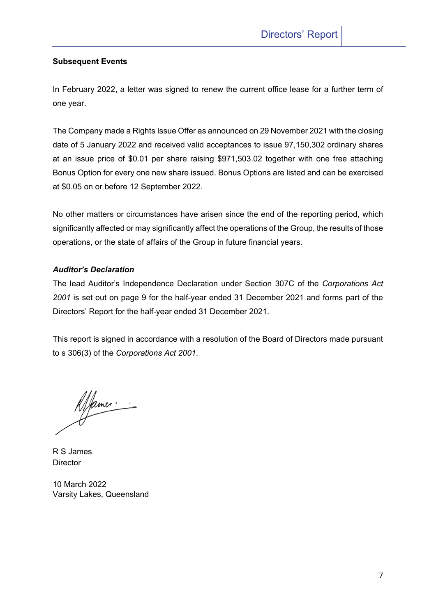## **Subsequent Events**

In February 2022, a letter was signed to renew the current office lease for a further term of one year.

The Company made a Rights Issue Offer as announced on 29 November 2021 with the closing date of 5 January 2022 and received valid acceptances to issue 97,150,302 ordinary shares at an issue price of \$0.01 per share raising \$971,503.02 together with one free attaching Bonus Option for every one new share issued. Bonus Options are listed and can be exercised at \$0.05 on or before 12 September 2022.

No other matters or circumstances have arisen since the end of the reporting period, which significantly affected or may significantly affect the operations of the Group, the results of those operations, or the state of affairs of the Group in future financial years.

## *Auditor's Declaration*

The lead Auditor's Independence Declaration under Section 307C of the *Corporations Act 2001* is set out on page 9 for the half-year ended 31 December 2021 and forms part of the Directors' Report for the half-year ended 31 December 2021.

This report is signed in accordance with a resolution of the Board of Directors made pursuant to s 306(3) of the *Corporations Act 2001*.

Alfames.

R S James **Director** 

10 March 2022 Varsity Lakes, Queensland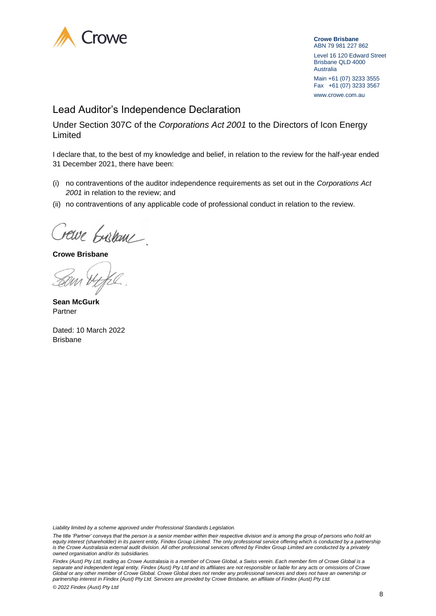

**Crowe Brisbane** ABN 79 981 227 862 Level 16 120 Edward Street Brisbane QLD 4000 Australia Main +61 (07) 3233 3555 Fax +61 (07) 3233 3567 www.crowe.com.au

## Lead Auditor's Independence Declaration

Under Section 307C of the *Corporations Act 2001* to the Directors of Icon Energy Limited

I declare that, to the best of my knowledge and belief, in relation to the review for the half-year ended 31 December 2021, there have been:

- (i) no contraventions of the auditor independence requirements as set out in the *Corporations Act 2001* in relation to the review; and
- (ii) no contraventions of any applicable code of professional conduct in relation to the review.

Crewe bushane.

**Crowe Brisbane**

**Sean McGurk** Partner

Dated: 10 March 2022 Brisbane

*Liability limited by a scheme approved under Professional Standards Legislation.*

*The title 'Partner' conveys that the person is a senior member within their respective division and is among the group of persons who hold an*  equity interest (shareholder) in its parent entity, Findex Group Limited. The only professional service offering which is conducted by a partnership *is the Crowe Australasia external audit division. All other professional services offered by Findex Group Limited are conducted by a privately owned organisation and/or its subsidiaries.* 

*Findex (Aust) Pty Ltd, trading as Crowe Australasia is a member of Crowe Global, a Swiss verein. Each member firm of Crowe Global is a separate and independent legal entity. Findex (Aust) Pty Ltd and its affiliates are not responsible or liable for any acts or omissions of Crowe Global or any other member of Crowe Global. Crowe Global does not render any professional services and does not have an ownership or partnership interest in Findex (Aust) Pty Ltd. Services are provided by Crowe Brisbane, an affiliate of Findex (Aust) Pty Ltd.*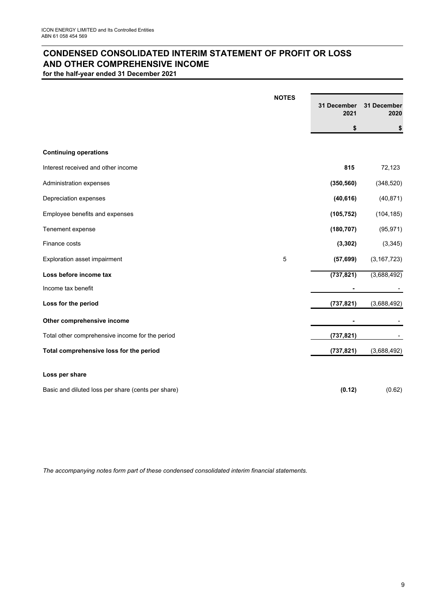## **CONDENSED CONSOLIDATED INTERIM STATEMENT OF PROFIT OR LOSS AND OTHER COMPREHENSIVE INCOME**

**for the half-year ended 31 December 2021**

|                                                    | <b>NOTES</b> | 31 December<br>2021 | 31 December<br>2020 |
|----------------------------------------------------|--------------|---------------------|---------------------|
|                                                    |              | \$                  | \$                  |
|                                                    |              |                     |                     |
| <b>Continuing operations</b>                       |              |                     |                     |
| Interest received and other income                 |              | 815                 | 72,123              |
| Administration expenses                            |              | (350, 560)          | (348, 520)          |
| Depreciation expenses                              |              | (40, 616)           | (40, 871)           |
| Employee benefits and expenses                     |              | (105, 752)          | (104, 185)          |
| Tenement expense                                   |              | (180, 707)          | (95, 971)           |
| Finance costs                                      |              | (3, 302)            | (3, 345)            |
| Exploration asset impairment                       | 5            | (57, 699)           | (3, 167, 723)       |
| Loss before income tax                             |              | (737, 821)          | (3,688,492)         |
| Income tax benefit                                 |              |                     |                     |
| Loss for the period                                |              | (737, 821)          | (3,688,492)         |
| Other comprehensive income                         |              |                     |                     |
| Total other comprehensive income for the period    |              | (737, 821)          |                     |
| Total comprehensive loss for the period            |              | (737, 821)          | (3,688,492)         |
| Loss per share                                     |              |                     |                     |
| Basic and diluted loss per share (cents per share) |              | (0.12)              | (0.62)              |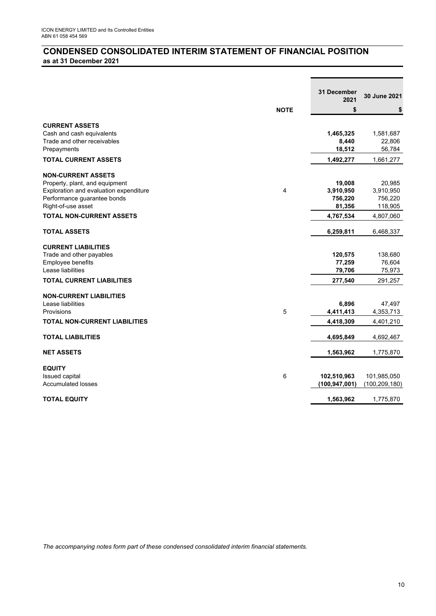## **CONDENSED CONSOLIDATED INTERIM STATEMENT OF FINANCIAL POSITION as at 31 December 2021**

|                                        |             | <b>31 December</b> |                 |
|----------------------------------------|-------------|--------------------|-----------------|
|                                        |             | 2021               | 30 June 2021    |
|                                        | <b>NOTE</b> | \$                 | \$              |
| <b>CURRENT ASSETS</b>                  |             |                    |                 |
| Cash and cash equivalents              |             | 1,465,325          | 1,581,687       |
| Trade and other receivables            |             | 8,440              | 22,806          |
| Prepayments                            |             | 18,512             | 56,784          |
| <b>TOTAL CURRENT ASSETS</b>            |             | 1,492,277          | 1,661,277       |
| <b>NON-CURRENT ASSETS</b>              |             |                    |                 |
| Property, plant, and equipment         |             | 19,008             | 20,985          |
| Exploration and evaluation expenditure | 4           | 3,910,950          | 3,910,950       |
| Performance guarantee bonds            |             | 756,220            | 756,220         |
| Right-of-use asset                     |             | 81,356             | 118,905         |
| <b>TOTAL NON-CURRENT ASSETS</b>        |             | 4,767,534          | 4,807,060       |
| <b>TOTAL ASSETS</b>                    |             | 6,259,811          | 6,468,337       |
| <b>CURRENT LIABILITIES</b>             |             |                    |                 |
| Trade and other payables               |             | 120,575            | 138,680         |
| Employee benefits                      |             | 77,259             | 76,604          |
| Lease liabilities                      |             | 79,706             | 75,973          |
| <b>TOTAL CURRENT LIABILITIES</b>       |             | 277,540            | 291,257         |
| <b>NON-CURRENT LIABILITIES</b>         |             |                    |                 |
| Lease liabilities                      |             | 6,896              | 47,497          |
| Provisions                             | 5           | 4,411,413          | 4,353,713       |
| <b>TOTAL NON-CURRENT LIABILITIES</b>   |             | 4,418,309          | 4,401,210       |
| <b>TOTAL LIABILITIES</b>               |             | 4,695,849          | 4,692,467       |
| <b>NET ASSETS</b>                      |             | 1,563,962          | 1,775,870       |
|                                        |             |                    |                 |
| <b>EQUITY</b>                          |             |                    |                 |
| Issued capital                         | 6           | 102,510,963        | 101,985,050     |
| <b>Accumulated losses</b>              |             | (100, 947, 001)    | (100, 209, 180) |
| <b>TOTAL EQUITY</b>                    |             | 1,563,962          | 1,775,870       |
|                                        |             |                    |                 |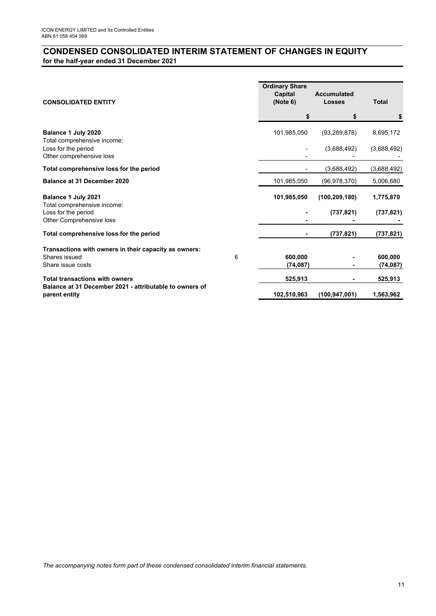## **CONDENSED CONSOLIDATED INTERIM STATEMENT OF CHANGES IN EQUITY for the half-year ended 31 December 2021**

| <b>CONSOLIDATED ENTITY</b>                                               | <b>Ordinary Share</b><br>Capital<br>(Note 6) | <b>Accumulated</b><br><b>Losses</b> | <b>Total</b>         |
|--------------------------------------------------------------------------|----------------------------------------------|-------------------------------------|----------------------|
|                                                                          | \$                                           | S                                   | \$                   |
| Balance 1 July 2020<br>Total comprehensive income:                       | 101,985,050                                  | (93, 289, 878)                      | 8,695,172            |
| Loss for the period<br>Other comprehensive loss                          |                                              | (3,688,492)                         | (3,688,492)          |
| Total comprehensive loss for the period                                  |                                              | (3,688,492)                         | (3,688,492)          |
| Balance at 31 December 2020                                              | 101,985,050                                  | (96, 978, 370)                      | 5,006,680            |
| Balance 1 July 2021<br>Total comprehensive income:                       | 101,985,050                                  | (100, 209, 180)                     | 1,775,870            |
| Loss for the period<br>Other Comprehensive loss                          |                                              | (737, 821)                          | (737, 821)           |
| Total comprehensive loss for the period                                  |                                              | (737, 821)                          | (737, 821)           |
| Transactions with owners in their capacity as owners:                    |                                              |                                     |                      |
| Shares issued<br>6<br>Share issue costs                                  | 600,000<br>(74, 087)                         |                                     | 600,000<br>(74, 087) |
| <b>Total transactions with owners</b>                                    | 525,913                                      |                                     | 525,913              |
| Balance at 31 December 2021 - attributable to owners of<br>parent entity | 102,510,963                                  | (100, 947, 001)                     | 1,563,962            |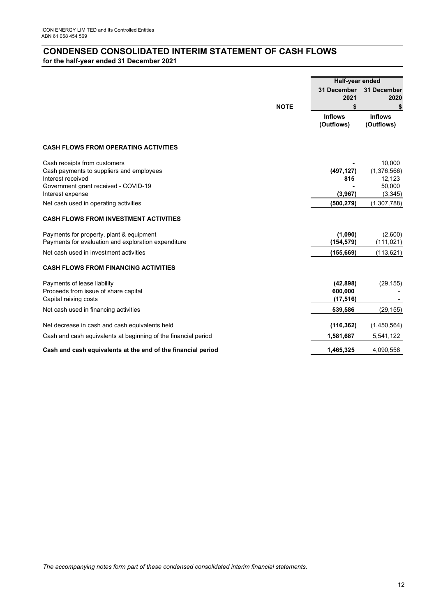## **CONDENSED CONSOLIDATED INTERIM STATEMENT OF CASH FLOWS for the half-year ended 31 December 2021**

|                                                                                                                                       |             | Half-year ended                   |                                           |
|---------------------------------------------------------------------------------------------------------------------------------------|-------------|-----------------------------------|-------------------------------------------|
|                                                                                                                                       |             | 31 December<br>2021               | 31 December<br>2020                       |
|                                                                                                                                       | <b>NOTE</b> | \$                                | \$                                        |
|                                                                                                                                       |             | <b>Inflows</b><br>(Outflows)      | <b>Inflows</b><br>(Outflows)              |
| <b>CASH FLOWS FROM OPERATING ACTIVITIES</b>                                                                                           |             |                                   |                                           |
| Cash receipts from customers<br>Cash payments to suppliers and employees<br>Interest received<br>Government grant received - COVID-19 |             | (497, 127)<br>815                 | 10,000<br>(1,376,566)<br>12,123<br>50,000 |
| Interest expense                                                                                                                      |             | (3,967)                           | (3,345)                                   |
| Net cash used in operating activities                                                                                                 |             | (500, 279)                        | (1, 307, 788)                             |
| <b>CASH FLOWS FROM INVESTMENT ACTIVITIES</b>                                                                                          |             |                                   |                                           |
| Payments for property, plant & equipment<br>Payments for evaluation and exploration expenditure                                       |             | (1,090)<br>(154, 579)             | (2,600)<br>(111,021)                      |
| Net cash used in investment activities                                                                                                |             | (155, 669)                        | (113, 621)                                |
| <b>CASH FLOWS FROM FINANCING ACTIVITIES</b>                                                                                           |             |                                   |                                           |
| Payments of lease liability<br>Proceeds from issue of share capital<br>Capital raising costs                                          |             | (42, 898)<br>600,000<br>(17, 516) | (29, 155)                                 |
| Net cash used in financing activities                                                                                                 |             | 539,586                           | (29, 155)                                 |
| Net decrease in cash and cash equivalents held                                                                                        |             | (116, 362)                        | (1,450,564)                               |
| Cash and cash equivalents at beginning of the financial period                                                                        |             | 1,581,687                         | 5,541,122                                 |
| Cash and cash equivalents at the end of the financial period                                                                          |             | 1,465,325                         | 4,090,558                                 |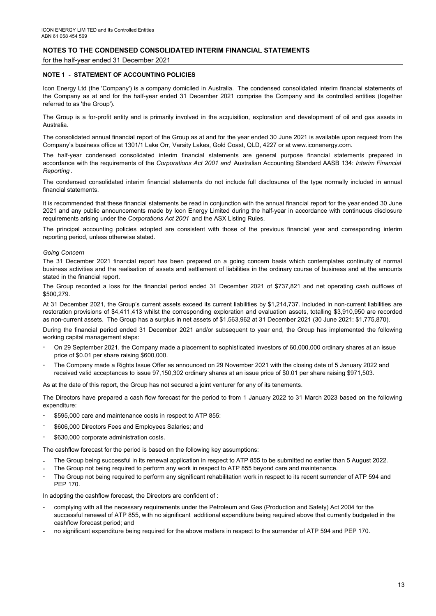for the half-year ended 31 December 2021

#### **NOTE 1 - STATEMENT OF ACCOUNTING POLICIES**

Icon Energy Ltd (the 'Company') is a company domiciled in Australia. The condensed consolidated interim financial statements of the Company as at and for the half-year ended 31 December 2021 comprise the Company and its controlled entities (together referred to as 'the Group').

The Group is a for-profit entity and is primarily involved in the acquisition, exploration and development of oil and gas assets in Australia.

The consolidated annual financial report of the Group as at and for the year ended 30 June 2021 is available upon request from the Company's business office at 1301/1 Lake Orr, Varsity Lakes, Gold Coast, QLD, 4227 or at www.iconenergy.com.

The half-year condensed consolidated interim financial statements are general purpose financial statements prepared in accordance with the requirements of the *Corporations Act 2001 and* Australian Accounting Standard AASB 134: *Interim Financial Reporting* .

The condensed consolidated interim financial statements do not include full disclosures of the type normally included in annual financial statements.

It is recommended that these financial statements be read in conjunction with the annual financial report for the year ended 30 June 2021 and any public announcements made by Icon Energy Limited during the half-year in accordance with continuous disclosure requirements arising under the *Corporations Act 2001* and the ASX Listing Rules.

The principal accounting policies adopted are consistent with those of the previous financial year and corresponding interim reporting period, unless otherwise stated.

#### *Going Concern*

The 31 December 2021 financial report has been prepared on a going concern basis which contemplates continuity of normal business activities and the realisation of assets and settlement of liabilities in the ordinary course of business and at the amounts stated in the financial report.

The Group recorded a loss for the financial period ended 31 December 2021 of \$737,821 and net operating cash outflows of \$500,279.

At 31 December 2021, the Group's current assets exceed its current liabilities by \$1,214,737. Included in non-current liabilities are restoration provisions of \$4,411,413 whilst the corresponding exploration and evaluation assets, totalling \$3,910,950 are recorded as non-current assets. The Group has a surplus in net assets of \$1,563,962 at 31 December 2021 (30 June 2021: \$1,775,870).

During the financial period ended 31 December 2021 and/or subsequent to year end, the Group has implemented the following working capital management steps:

- On 29 September 2021, the Company made a placement to sophisticated investors of 60,000,000 ordinary shares at an issue price of \$0.01 per share raising \$600,000.
- The Company made a Rights Issue Offer as announced on 29 November 2021 with the closing date of 5 January 2022 and received valid acceptances to issue 97,150,302 ordinary shares at an issue price of \$0.01 per share raising \$971,503.

As at the date of this report, the Group has not secured a joint venturer for any of its tenements.

The Directors have prepared a cash flow forecast for the period to from 1 January 2022 to 31 March 2023 based on the following expenditure:

- \$595,000 care and maintenance costs in respect to ATP 855:
- \$606,000 Directors Fees and Employees Salaries; and
- \$630,000 corporate administration costs.

The cashflow forecast for the period is based on the following key assumptions:

- The Group being successful in its renewal application in respect to ATP 855 to be submitted no earlier than 5 August 2022.
- The Group not being required to perform any work in respect to ATP 855 beyond care and maintenance.
- The Group not being required to perform any significant rehabilitation work in respect to its recent surrender of ATP 594 and PEP 170.

In adopting the cashflow forecast, the Directors are confident of :

- complying with all the necessary requirements under the Petroleum and Gas (Production and Safety) Act 2004 for the successful renewal of ATP 855, with no significant additional expenditure being required above that currently budgeted in the cashflow forecast period; and
- no significant expenditure being required for the above matters in respect to the surrender of ATP 594 and PEP 170.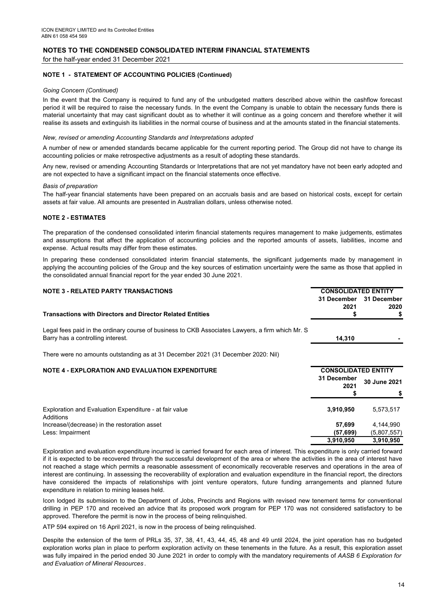for the half-year ended 31 December 2021

#### **NOTE 1 - STATEMENT OF ACCOUNTING POLICIES (Continued)**

#### *Going Concern (Continued)*

In the event that the Company is required to fund any of the unbudgeted matters described above within the cashflow forecast period it will be required to raise the necessary funds. In the event the Company is unable to obtain the necessary funds there is material uncertainty that may cast significant doubt as to whether it will continue as a going concern and therefore whether it will realise its assets and extinguish its liabilities in the normal course of business and at the amounts stated in the financial statements.

#### *New, revised or amending Accounting Standards and Interpretations adopted*

A number of new or amended standards became applicable for the current reporting period. The Group did not have to change its accounting policies or make retrospective adjustments as a result of adopting these standards.

Any new, revised or amending Accounting Standards or Interpretations that are not yet mandatory have not been early adopted and are not expected to have a significant impact on the financial statements once effective.

#### *Basis of preparation*

The half-year financial statements have been prepared on an accruals basis and are based on historical costs, except for certain assets at fair value. All amounts are presented in Australian dollars, unless otherwise noted.

#### **NOTE 2 - ESTIMATES**

The preparation of the condensed consolidated interim financial statements requires management to make judgements, estimates and assumptions that affect the application of accounting policies and the reported amounts of assets, liabilities, income and expense. Actual results may differ from these estimates.

In preparing these condensed consolidated interim financial statements, the significant judgements made by management in applying the accounting policies of the Group and the key sources of estimation uncertainty were the same as those that applied in the consolidated annual financial report for the year ended 30 June 2021.

| <b>NOTE 3 - RELATED PARTY TRANSACTIONS</b>                                                                                            | <b>CONSOLIDATED ENTITY</b> |              |
|---------------------------------------------------------------------------------------------------------------------------------------|----------------------------|--------------|
|                                                                                                                                       | 31 December                | 31 December  |
|                                                                                                                                       | 2021                       | 2020         |
| <b>Transactions with Directors and Director Related Entities</b>                                                                      |                            |              |
| Legal fees paid in the ordinary course of business to CKB Associates Lawyers, a firm which Mr. S<br>Barry has a controlling interest. | 14,310                     |              |
| There were no amounts outstanding as at 31 December 2021 (31 December 2020: Nil)                                                      |                            |              |
| <b>NOTE 4 - EXPLORATION AND EVALUATION EXPENDITURE</b>                                                                                | <b>CONSOLIDATED ENTITY</b> |              |
|                                                                                                                                       | 31 December<br>2021        | 30 June 2021 |
|                                                                                                                                       |                            |              |
| Exploration and Evaluation Expenditure - at fair value<br>Additions                                                                   | 3,910,950                  | 5,573,517    |
| Increase/(decrease) in the restoration asset                                                                                          | 57,699                     | 4,144,990    |
| Less: Impairment                                                                                                                      | (57,699)                   | (5,807,557)  |
|                                                                                                                                       | 3,910,950                  | 3,910,950    |

Exploration and evaluation expenditure incurred is carried forward for each area of interest. This expenditure is only carried forward if it is expected to be recovered through the successful development of the area or where the activities in the area of interest have not reached a stage which permits a reasonable assessment of economically recoverable reserves and operations in the area of interest are continuing. In assessing the recoverability of exploration and evaluation expenditure in the financial report, the directors have considered the impacts of relationships with joint venture operators, future funding arrangements and planned future expenditure in relation to mining leases held.

Icon lodged its submission to the Department of Jobs, Precincts and Regions with revised new tenement terms for conventional drilling in PEP 170 and received an advice that its proposed work program for PEP 170 was not considered satisfactory to be approved. Therefore the permit is now in the process of being relinquished.

ATP 594 expired on 16 April 2021, is now in the process of being relinquished.

Despite the extension of the term of PRLs 35, 37, 38, 41, 43, 44, 45, 48 and 49 until 2024, the joint operation has no budgeted exploration works plan in place to perform exploration activity on these tenements in the future. As a result, this exploration asset was fully impaired in the period ended 30 June 2021 in order to comply with the mandatory requirements of *AASB 6 Exploration for and Evaluation of Mineral Resources* .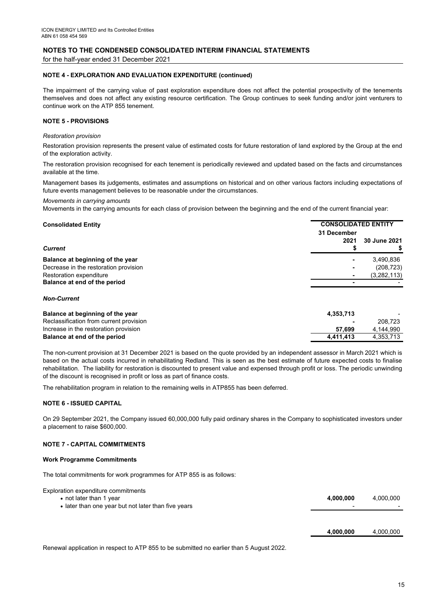for the half-year ended 31 December 2021

#### **NOTE 4 - EXPLORATION AND EVALUATION EXPENDITURE (continued)**

The impairment of the carrying value of past exploration expenditure does not affect the potential prospectivity of the tenements themselves and does not affect any existing resource certification. The Group continues to seek funding and/or joint venturers to continue work on the ATP 855 tenement.

#### **NOTE 5 - PROVISIONS**

#### *Restoration provision*

Restoration provision represents the present value of estimated costs for future restoration of land explored by the Group at the end of the exploration activity.

The restoration provision recognised for each tenement is periodically reviewed and updated based on the facts and circumstances available at the time.

Management bases its judgements, estimates and assumptions on historical and on other various factors including expectations of future events management believes to be reasonable under the circumstances.

#### *Movements in carrying amounts*

Movements in the carrying amounts for each class of provision between the beginning and the end of the current financial year:

| <b>Consolidated Entity</b>            |                     | <b>CONSOLIDATED ENTITY</b> |  |
|---------------------------------------|---------------------|----------------------------|--|
| <b>Current</b>                        | 31 December<br>2021 | 30 June 2021               |  |
| Balance at beginning of the year      | ۰                   | 3,490,836                  |  |
| Decrease in the restoration provision | ۰                   | (208, 723)                 |  |
| Restoration expenditure               | $\blacksquare$      | (3, 282, 113)              |  |
| Balance at end of the period          | $\blacksquare$      |                            |  |
| <b>Non-Current</b>                    |                     |                            |  |

| 4.353.713      | $\overline{a}$ |
|----------------|----------------|
| $\blacksquare$ | 208.723        |
| 57.699         | 4.144.990      |
| 4.411.413      | 4.353.713      |
|                |                |

The non-current provision at 31 December 2021 is based on the quote provided by an independent assessor in March 2021 which is based on the actual costs incurred in rehabilitating Redland. This is seen as the best estimate of future expected costs to finalise rehabilitation. The liability for restoration is discounted to present value and expensed through profit or loss. The periodic unwinding of the discount is recognised in profit or loss as part of finance costs.

The rehabilitation program in relation to the remaining wells in ATP855 has been deferred.

#### **NOTE 6 - ISSUED CAPITAL**

On 29 September 2021, the Company issued 60,000,000 fully paid ordinary shares in the Company to sophisticated investors under a placement to raise \$600,000.

#### **NOTE 7 - CAPITAL COMMITMENTS**

#### **Work Programme Commitments**

The total commitments for work programmes for ATP 855 is as follows:

| Exploration expenditure commitments                 |           |           |
|-----------------------------------------------------|-----------|-----------|
| • not later than 1 year                             | 4.000.000 | 4.000.000 |
| • later than one year but not later than five years |           |           |
|                                                     |           |           |

 **4,000,000** 4,000,000

Renewal application in respect to ATP 855 to be submitted no earlier than 5 August 2022.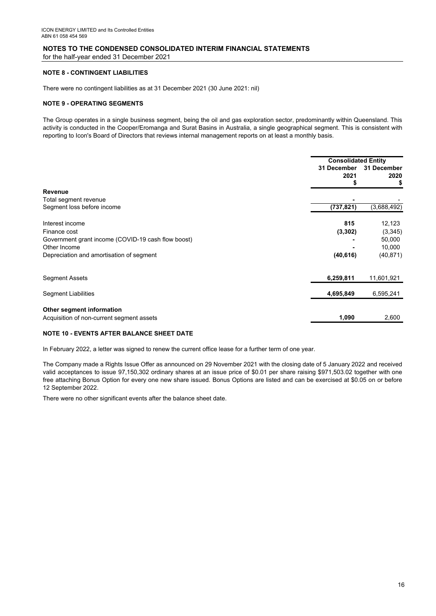for the half-year ended 31 December 2021

#### **NOTE 8 - CONTINGENT LIABILITIES**

There were no contingent liabilities as at 31 December 2021 (30 June 2021: nil)

#### **NOTE 9 - OPERATING SEGMENTS**

The Group operates in a single business segment, being the oil and gas exploration sector, predominantly within Queensland. This activity is conducted in the Cooper/Eromanga and Surat Basins in Australia, a single geographical segment. This is consistent with reporting to Icon's Board of Directors that reviews internal management reports on at least a monthly basis.

|                                                                        | <b>Consolidated Entity</b> |                           |
|------------------------------------------------------------------------|----------------------------|---------------------------|
|                                                                        | 31 December<br>2021        | 31 December<br>2020<br>\$ |
| <b>Revenue</b>                                                         |                            |                           |
| Total segment revenue                                                  |                            |                           |
| Segment loss before income                                             | (737, 821)                 | (3,688,492)               |
| Interest income                                                        | 815                        | 12,123                    |
| Finance cost                                                           | (3, 302)                   | (3,345)                   |
| Government grant income (COVID-19 cash flow boost)                     |                            | 50,000                    |
| Other Income                                                           |                            | 10,000                    |
| Depreciation and amortisation of segment                               | (40, 616)                  | (40, 871)                 |
| <b>Segment Assets</b>                                                  | 6,259,811                  | 11,601,921                |
| <b>Segment Liabilities</b>                                             | 4,695,849                  | 6,595,241                 |
| Other segment information<br>Acquisition of non-current segment assets | 1,090                      | 2,600                     |

#### **NOTE 10 - EVENTS AFTER BALANCE SHEET DATE**

In February 2022, a letter was signed to renew the current office lease for a further term of one year.

The Company made a Rights Issue Offer as announced on 29 November 2021 with the closing date of 5 January 2022 and received valid acceptances to issue 97,150,302 ordinary shares at an issue price of \$0.01 per share raising \$971,503.02 together with one free attaching Bonus Option for every one new share issued. Bonus Options are listed and can be exercised at \$0.05 on or before 12 September 2022.

There were no other significant events after the balance sheet date.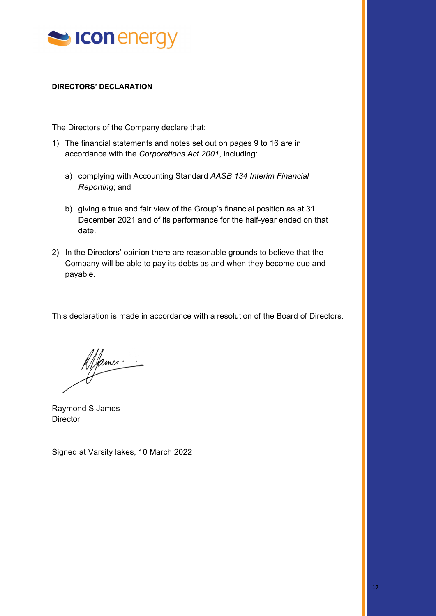

### **DIRECTORS' DECLARATION**

The Directors of the Company declare that:

- 1) The financial statements and notes set out on pages 9 to 16 are in accordance with the *Corporations Act 2001*, including:
	- a) complying with Accounting Standard *AASB 134 Interim Financial Reporting*; and
	- b) giving a true and fair view of the Group's financial position as at 31 December 2021 and of its performance for the half-year ended on that date.
- 2) In the Directors' opinion there are reasonable grounds to believe that the Company will be able to pay its debts as and when they become due and payable.

This declaration is made in accordance with a resolution of the Board of Directors.

James

Raymond S James **Director** 

Signed at Varsity lakes, 10 March 2022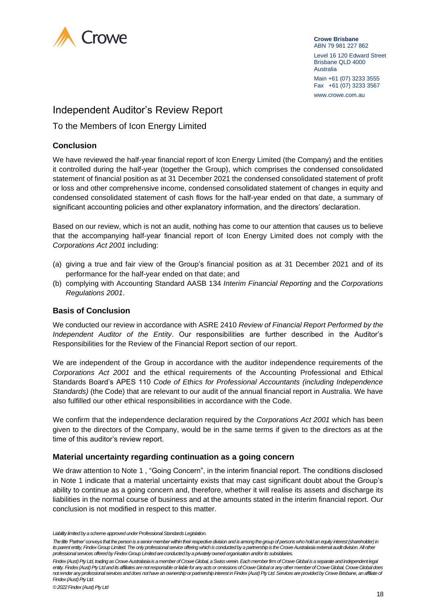

**Crowe Brisbane** ABN 79 981 227 862 Level 16 120 Edward Street Brisbane QLD 4000 Australia Main +61 (07) 3233 3555 Fax +61 (07) 3233 3567 www.crowe.com.au

## Independent Auditor's Review Report

To the Members of Icon Energy Limited

## **Conclusion**

We have reviewed the half-year financial report of Icon Energy Limited (the Company) and the entities it controlled during the half-year (together the Group), which comprises the condensed consolidated statement of financial position as at 31 December 2021 the condensed consolidated statement of profit or loss and other comprehensive income, condensed consolidated statement of changes in equity and condensed consolidated statement of cash flows for the half-year ended on that date, a summary of significant accounting policies and other explanatory information, and the directors' declaration.

Based on our review, which is not an audit, nothing has come to our attention that causes us to believe that the accompanying half-year financial report of Icon Energy Limited does not comply with the *Corporations Act 2001* including:

- (a) giving a true and fair view of the Group's financial position as at 31 December 2021 and of its performance for the half-year ended on that date; and
- (b) complying with Accounting Standard AASB 134 *Interim Financial Reporting* and the *Corporations Regulations 2001*.

## **Basis of Conclusion**

We conducted our review in accordance with ASRE 2410 *Review of Financial Report Performed by the Independent Auditor of the Entity*. Our responsibilities are further described in the Auditor's Responsibilities for the Review of the Financial Report section of our report.

We are independent of the Group in accordance with the auditor independence requirements of the *Corporations Act 2001* and the ethical requirements of the Accounting Professional and Ethical Standards Board's APES 110 *Code of Ethics for Professional Accountants (including Independence Standards)* (the Code) that are relevant to our audit of the annual financial report in Australia. We have also fulfilled our other ethical responsibilities in accordance with the Code.

We confirm that the independence declaration required by the *Corporations Act 2001* which has been given to the directors of the Company, would be in the same terms if given to the directors as at the time of this auditor's review report.

### **Material uncertainty regarding continuation as a going concern**

We draw attention to Note 1 , "Going Concern", in the interim financial report. The conditions disclosed in Note 1 indicate that a material uncertainty exists that may cast significant doubt about the Group's ability to continue as a going concern and, therefore, whether it will realise its assets and discharge its liabilities in the normal course of business and at the amounts stated in the interim financial report. Our conclusion is not modified in respect to this matter.

*Liability limited by a scheme approved under Professional Standards Legislation.*

*The title 'Partner' conveys that the person is a senior member within their respective division and is among the group of persons who hold an equity interest (shareholder) in its parent entity, Findex Group Limited.The only professional service offering which is conducted by a partnership is the Crowe Australasia external audit division. All other professional services offered by Findex Group Limited are conducted by a privately owned organisation and/or its subsidiaries.* 

*Findex (Aust) Pty Ltd, trading as Crowe Australasia is a member of Crowe Global, a Swiss verein. Each member firm of Crowe Global is a separate and independent legal entity. Findex (Aust) Pty Ltd and its affiliates are not responsible or liable for any acts or omissions of Crowe Global or any other member of Crowe Global. Crowe Global does not render any professional services and does not have an ownership or partnership interest in Findex (Aust) Pty Ltd. Services are provided by Crowe Brisbane, an affiliate of Findex (Aust) Pty Ltd.*